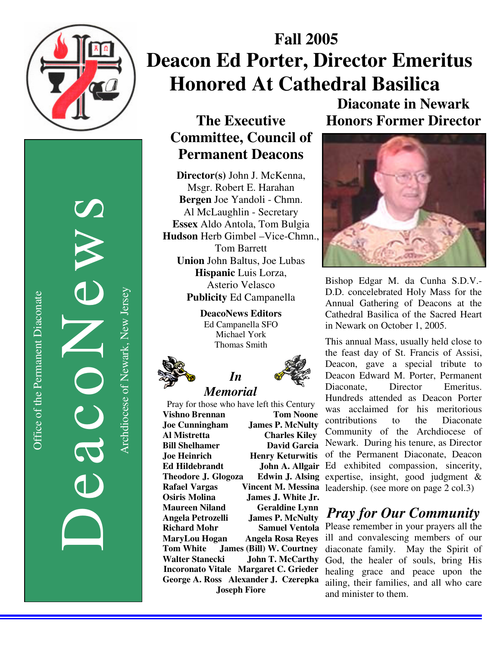

Office of the Permanent Diaconate Office of the Permanent Diaconate

DeacoNews News Archdiocese of Newark, New Jersey Archdiocese of Newark, New Jersey

## **Fall 2005 Deacon Ed Porter, Director Emeritus Honored At Cathedral Basilica**

#### **The Executive Committee, Council of Permanent Deacons**

**Director(s)** John J. McKenna, Msgr. Robert E. Harahan **Bergen** Joe Yandoli - Chmn. Al McLaughlin - Secretary **Essex** Aldo Antola, Tom Bulgia **Hudson** Herb Gimbel –Vice-Chmn., Tom Barrett **Union** John Baltus, Joe Lubas **Hispanic** Luis Lorza, Asterio Velasco **Publicity** Ed Campanella

> **DeacoNews Editors**  Ed Campanella SFO Michael York Thomas Smith

> > *In*



# Pray for those who have left this Century **Vishno Brennan Tom Noone Joe Cunningham James P. McNulty**

**Al Mistretta Charles Kiley Bill Shelhamer David Garcia Joe Heinrich Henry Keturwitis Theodore J. Glogoza Osiris Molina James J. White Jr. Maureen Niland Geraldine Lynn Angela Petrozelli James P. McNulty Tom White James (Bill) W. Courtney Walter Stanecki John T. McCarthy Incoronato Vitale Margaret C. Grieder George A. Ross Alexander J. Czerepka Joseph Fiore** 

**Diaconate in Newark Honors Former Director** 



Bishop Edgar M. da Cunha S.D.V.- D.D. concelebrated Holy Mass for the Annual Gathering of Deacons at the Cathedral Basilica of the Sacred Heart in Newark on October 1, 2005.

**Ed Hildebrandt John A. Allgair**  Ed exhibited compassion, sincerity, **Rafael Vargas Vincent M. Messina**  leadership. (see more on page 2 col.3) This annual Mass, usually held close to the feast day of St. Francis of Assisi, Deacon, gave a special tribute to Deacon Edward M. Porter, Permanent Diaconate, Director Emeritus. Hundreds attended as Deacon Porter was acclaimed for his meritorious contributions to the Diaconate Community of the Archdiocese of Newark. During his tenure, as Director of the Permanent Diaconate, Deacon Edwin J. Alsing expertise, insight, good judgment  $\&$ 

### *Pray for Our Community*

**Richard Mohr Samuel Ventola**  Please remember in your prayers all the **MaryLou Hogan Angela Rosa Reyes**  ill and convalescing members of our diaconate family. May the Spirit of God, the healer of souls, bring His healing grace and peace upon the ailing, their families, and all who care and minister to them.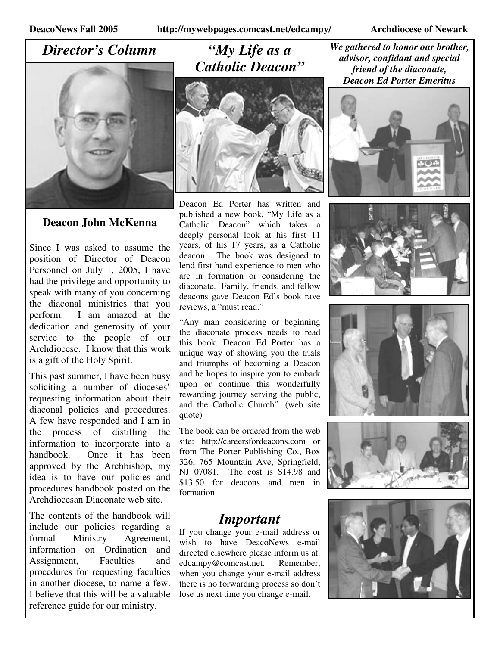#### *Director's Column*



#### **Deacon John McKenna**

Since I was asked to assume the position of Director of Deacon Personnel on July 1, 2005, I have had the privilege and opportunity to speak with many of you concerning the diaconal ministries that you perform. I am amazed at the dedication and generosity of your service to the people of our Archdiocese. I know that this work is a gift of the Holy Spirit.

This past summer, I have been busy soliciting a number of dioceses' requesting information about their diaconal policies and procedures. A few have responded and I am in the process of distilling the information to incorporate into a handbook. Once it has been approved by the Archbishop, my idea is to have our policies and procedures handbook posted on the Archdiocesan Diaconate web site.

The contents of the handbook will include our policies regarding a formal Ministry Agreement, information on Ordination and Assignment, Faculties and procedures for requesting faculties in another diocese, to name a few. I believe that this will be a valuable reference guide for our ministry.

#### *"My Life as a Catholic Deacon"*



Deacon Ed Porter has written and published a new book, "My Life as a Catholic Deacon" which takes a deeply personal look at his first 11 years, of his 17 years, as a Catholic deacon. The book was designed to lend first hand experience to men who are in formation or considering the diaconate. Family, friends, and fellow deacons gave Deacon Ed's book rave reviews, a "must read."

"Any man considering or beginning the diaconate process needs to read this book. Deacon Ed Porter has a unique way of showing you the trials and triumphs of becoming a Deacon and he hopes to inspire you to embark upon or continue this wonderfully rewarding journey serving the public, and the Catholic Church". (web site quote)

The book can be ordered from the web site: http://careersfordeacons.com or from The Porter Publishing Co., Box 326, 765 Mountain Ave, Springfield, NJ 07081. The cost is \$14.98 and \$13.50 for deacons and men in formation

#### *Important*

If you change your e-mail address or wish to have DeacoNews e-mail directed elsewhere please inform us at: edcampy@comcast.net. Remember, when you change your e-mail address there is no forwarding process so don't lose us next time you change e-mail.

*We gathered to honor our brother, advisor, confidant and special friend of the diaconate, Deacon Ed Porter Emeritus* 









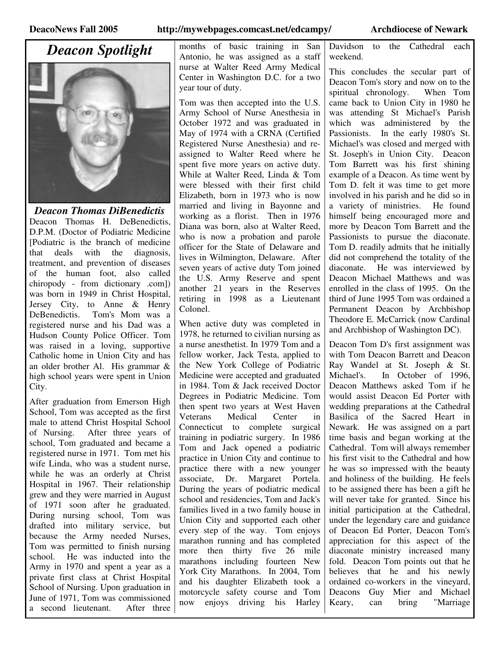*Deacon Spotlight* 



*Deacon Thomas DiBenedictis*  Deacon Thomas H. DeBenedictis, D.P.M. (Doctor of Podiatric Medicine [Podiatric is the branch of medicine that deals with the diagnosis, treatment, and prevention of diseases of the human foot, also called chiropody - from dictionary .com]) was born in 1949 in Christ Hospital, Jersey City, to Anne & Henry DeBenedictis. Tom's Mom was a registered nurse and his Dad was a Hudson County Police Officer. Tom was raised in a loving, supportive Catholic home in Union City and has an older brother Al. His grammar & high school years were spent in Union City.

After graduation from Emerson High School, Tom was accepted as the first male to attend Christ Hospital School of Nursing. After three years of school, Tom graduated and became a registered nurse in 1971. Tom met his wife Linda, who was a student nurse, while he was an orderly at Christ Hospital in 1967. Their relationship grew and they were married in August of 1971 soon after he graduated. During nursing school, Tom was drafted into military service, but because the Army needed Nurses, Tom was permitted to finish nursing school. He was inducted into the Army in 1970 and spent a year as a private first class at Christ Hospital School of Nursing. Upon graduation in June of 1971, Tom was commissioned a second lieutenant. After three

months of basic training in San Antonio, he was assigned as a staff nurse at Walter Reed Army Medical Center in Washington D.C. for a two year tour of duty.

Tom was then accepted into the U.S. Army School of Nurse Anesthesia in October 1972 and was graduated in May of 1974 with a CRNA (Certified Registered Nurse Anesthesia) and reassigned to Walter Reed where he spent five more years on active duty. While at Walter Reed, Linda & Tom were blessed with their first child Elizabeth, born in 1973 who is now married and living in Bayonne and working as a florist. Then in 1976 Diana was born, also at Walter Reed, who is now a probation and parole officer for the State of Delaware and lives in Wilmington, Delaware. After seven years of active duty Tom joined the U.S. Army Reserve and spent another 21 years in the Reserves retiring in 1998 as a Lieutenant Colonel.

When active duty was completed in 1978, he returned to civilian nursing as a nurse anesthetist. In 1979 Tom and a fellow worker, Jack Testa, applied to the New York College of Podiatric Medicine were accepted and graduated in 1984. Tom & Jack received Doctor Degrees in Podiatric Medicine. Tom then spent two years at West Haven Veterans Medical Center in Connecticut to complete surgical training in podiatric surgery. In 1986 Tom and Jack opened a podiatric practice in Union City and continue to practice there with a new younger associate, Dr. Margaret Portela. During the years of podiatric medical school and residencies, Tom and Jack's families lived in a two family house in Union City and supported each other every step of the way. Tom enjoys marathon running and has completed more then thirty five 26 mile marathons including fourteen New York City Marathons. In 2004, Tom and his daughter Elizabeth took a motorcycle safety course and Tom now enjoys driving his Harley

Davidson to the Cathedral each weekend.

This concludes the secular part of Deacon Tom's story and now on to the spiritual chronology. When Tom came back to Union City in 1980 he was attending St Michael's Parish which was administered by the Passionists. In the early 1980's St. Michael's was closed and merged with St. Joseph's in Union City. Deacon Tom Barrett was his first shining example of a Deacon. As time went by Tom D. felt it was time to get more involved in his parish and he did so in a variety of ministries. He found himself being encouraged more and more by Deacon Tom Barrett and the Passionists to pursue the diaconate. Tom D. readily admits that he initially did not comprehend the totality of the diaconate. He was interviewed by Deacon Michael Matthews and was enrolled in the class of 1995. On the third of June 1995 Tom was ordained a Permanent Deacon by Archbishop Theodore E. McCarrick (now Cardinal and Archbishop of Washington DC).

Deacon Tom D's first assignment was with Tom Deacon Barrett and Deacon Ray Wandel at St. Joseph & St. Michael's. In October of 1996, Deacon Matthews asked Tom if he would assist Deacon Ed Porter with wedding preparations at the Cathedral Basilica of the Sacred Heart in Newark. He was assigned on a part time basis and began working at the Cathedral. Tom will always remember his first visit to the Cathedral and how he was so impressed with the beauty and holiness of the building. He feels to be assigned there has been a gift he will never take for granted. Since his initial participation at the Cathedral, under the legendary care and guidance of Deacon Ed Porter, Deacon Tom's appreciation for this aspect of the diaconate ministry increased many fold. Deacon Tom points out that he believes that he and his newly ordained co-workers in the vineyard, Deacons Guy Mier and Michael Keary, can bring "Marriage